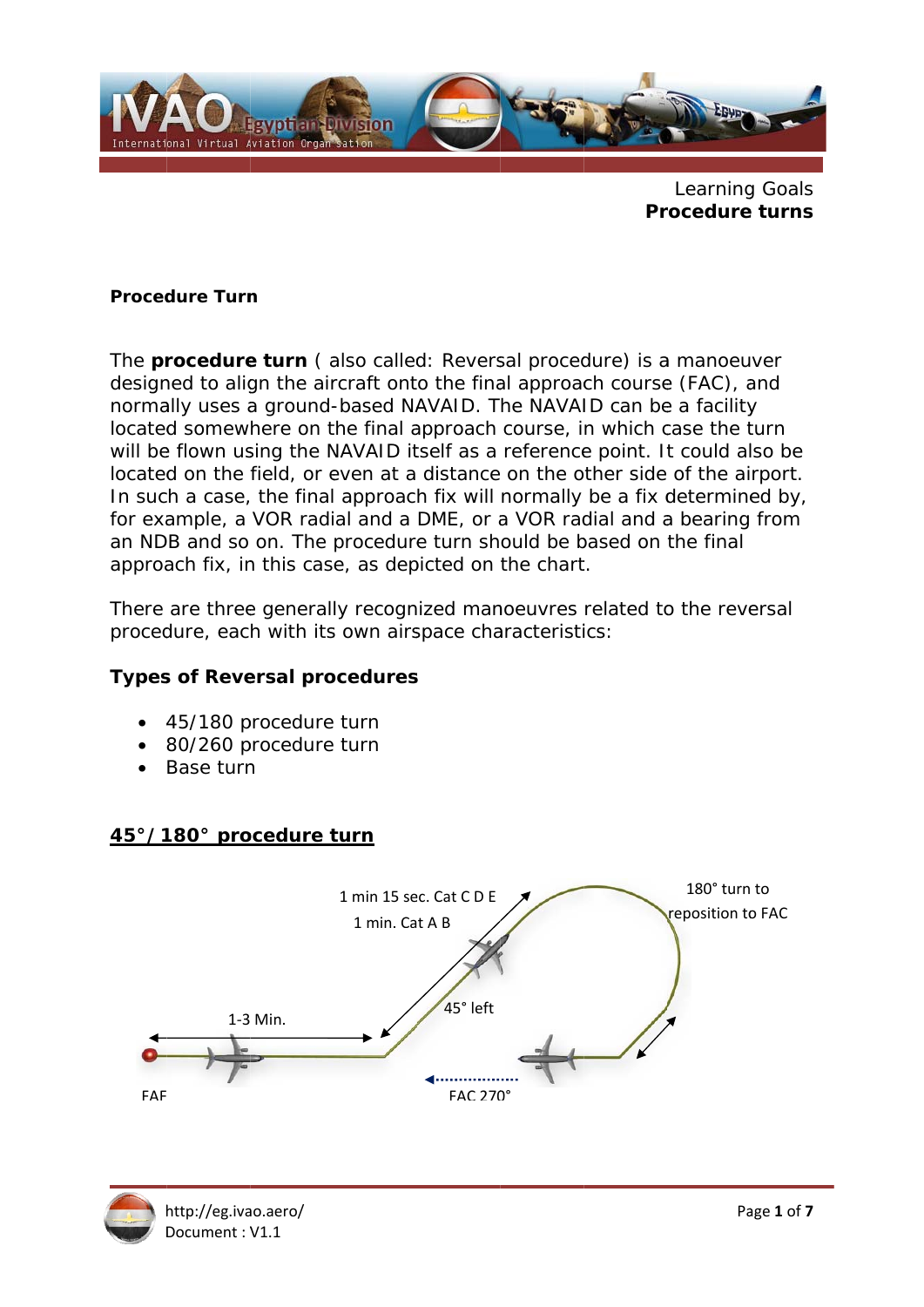

Learning Goals **Procedure turns** 

#### **Procedure Turn**

The **procedure turn** (also called: Reversal procedure) is a manoeuver designed to align the aircraft onto the final approach course (FAC), and normally uses a ground-based NAVAID. The NAVAID can be a facility located somewhere on the final approach course, in which case the turn will be flown using the NAVAID itself as a reference point. It could also be located on the field, or even at a distance on the other side of the airport. In such a case, the final approach fix will normally be a fix determined by, for example, a VOR radial and a DME, or a VOR radial and a bearing from an NDB and so on. The procedure turn should be based on the final approach fix, in this case, as depicted on the chart.

There are three generally recognized manoeuvres related to the reversal procedure, each with its own airspace characteristics:

### **Types of Reversal procedures**

- 45/180 procedure turn
- 80/260 procedure turn
- $\bullet$  Base turn

## 45°/180° procedure turn



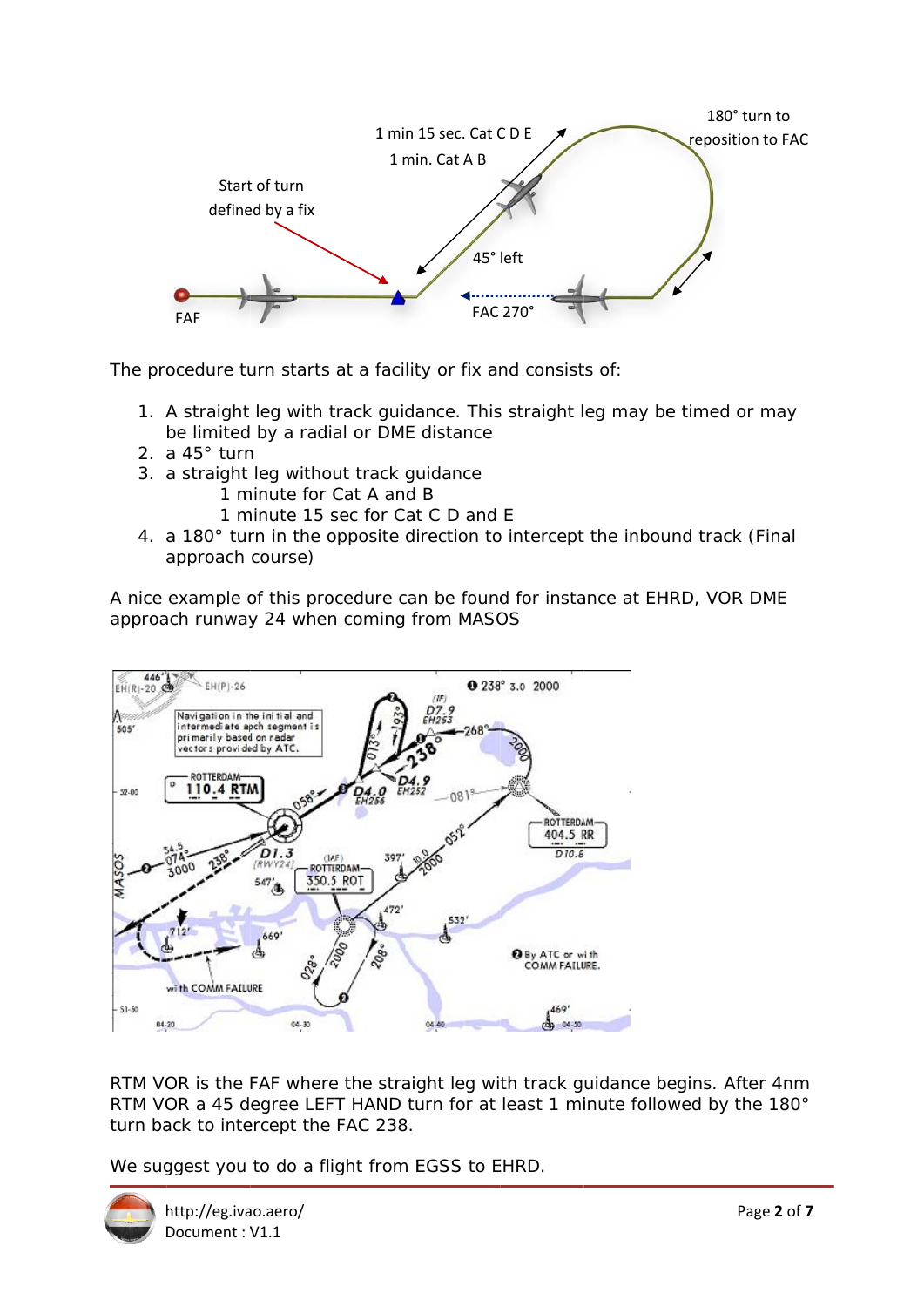

The procedure turn starts at a facility or fix and consists of:

- 1. A straight leg with track guidance. This straight leg may be timed or may be limited by a radial or DME distance
- 2. a  $45^\circ$  turn
- 3. a straight leg without track guidance
	- 1 minute for Cat A and B
	- 1 minute 15 sec for Cat C D and E
- 4. a 180° turn in the opposite direction to intercept the inbound track (Final approach course)

A nice example of this procedure can be found for instance at EHRD, VOR DME approach runway 24 when coming from MASOS



RTM VOR is the FAF where the straight leg with track guidance begins. After 4nm RTM VOR a 45 degree LEFT HAND turn for at least 1 minute followed by the 180° turn back to intercept the FAC 238.

We suggest you to do a flight from EGSS to EHRD.

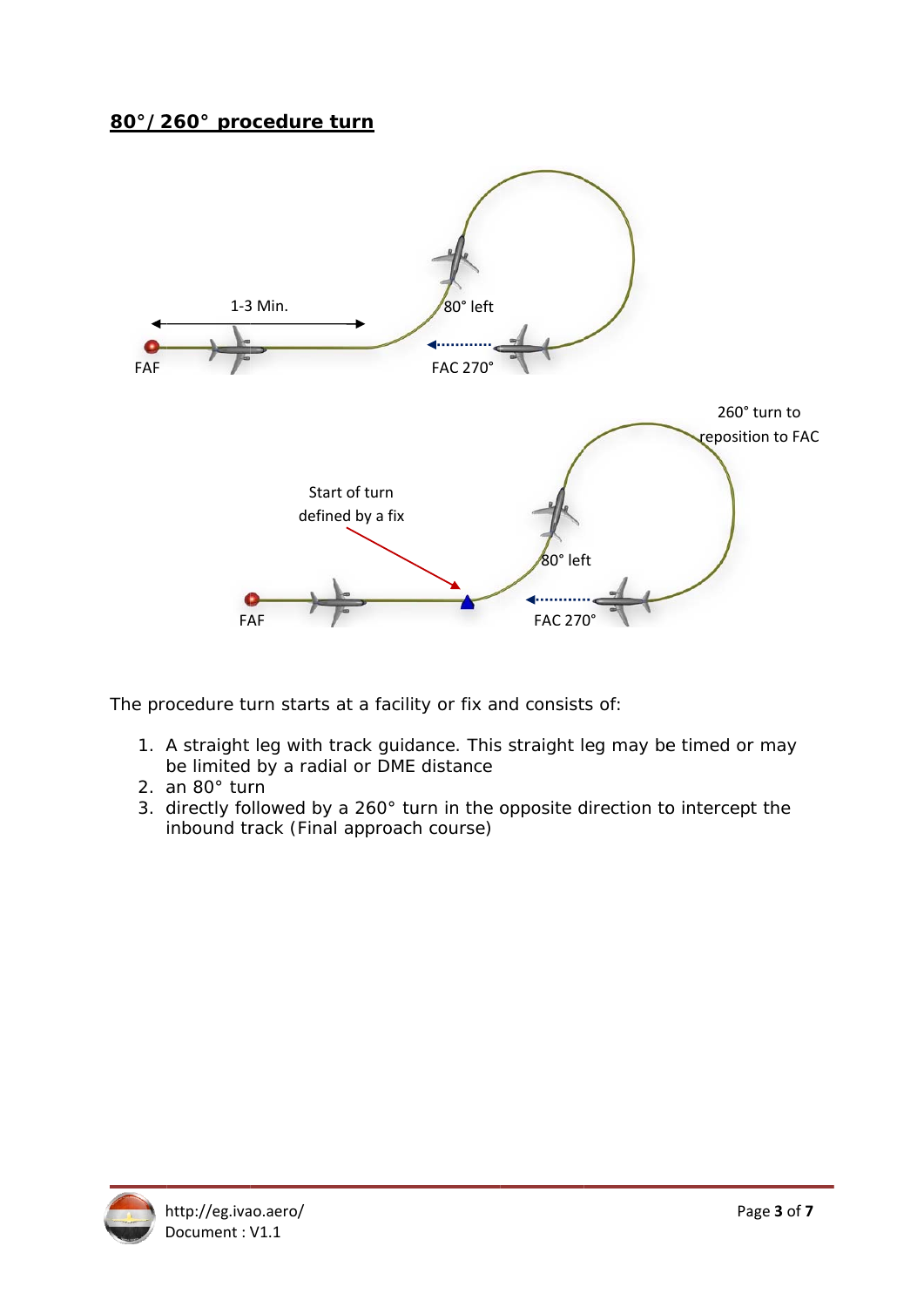### 80°/260° procedure turn



The procedure turn starts at a facility or fix and consists of:

- 1. A straight leg with track guidance. This straight leg may be timed or may be limited by a radial or DME distance
- 2. an 80° turn
- 3. directly followed by a 260° turn in the opposite direction to intercept the inbound track (Final approach course)

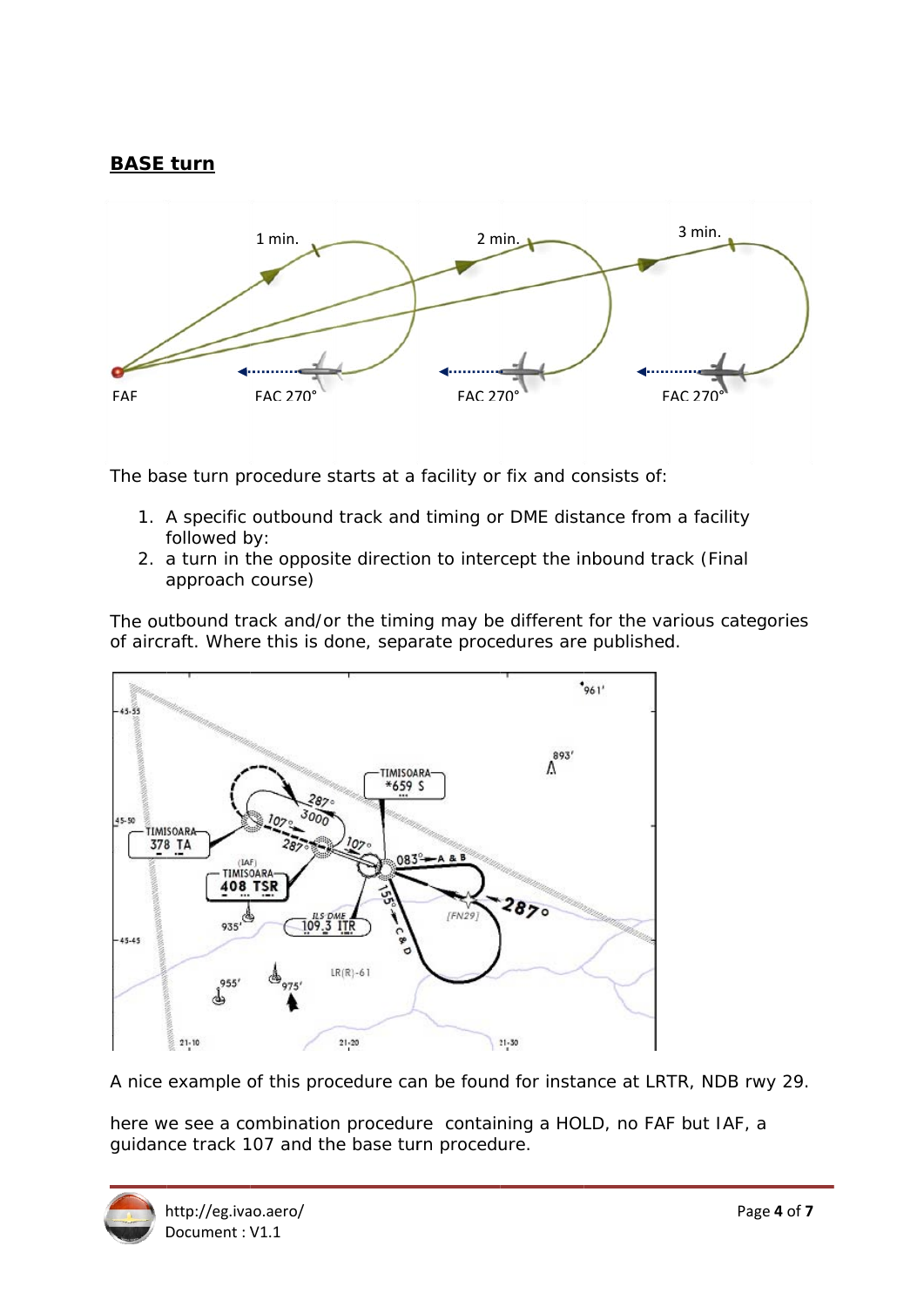# **BASE turn**



The base turn procedure starts at a facility or fix and consists of:

- 1. A specific outbound track and timing or DME distance from a facility followed by:
- 2. a turn in the opposite direction to intercept the inbound track (Final approach course)

The outbound track and/or the timing may be different for the various categories of aircraft. Where this is done, separate procedures are published.



A nice example of this procedure can be found for instance at LRTR, NDB rwy 29.

here we see a combination procedure containing a HOLD, no FAF but IAF, a guidance track 107 and the base turn procedure.

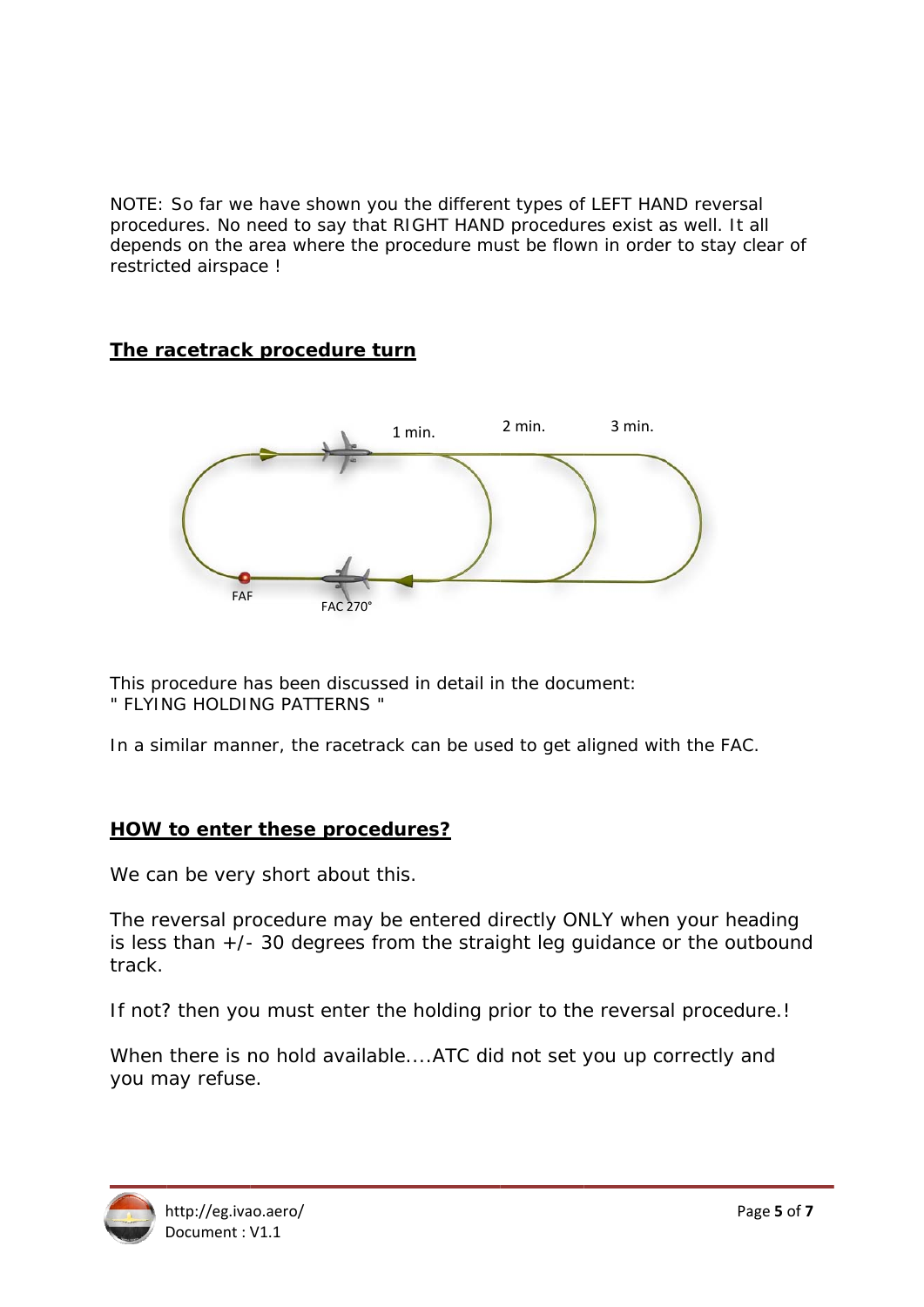NOTE: So far we have shown you the different types of LEFT HAND reversal procedures. No need to say that RIGHT HAND procedures exist as well. It all depends on the area where the procedure must be flown in order to stay clear of restricted airspace !

## The racetrack procedure turn



This procedure has been discussed in detail in the document: " FLYING HOLDING PATTERNS "

In a similar manner, the racetrack can be used to get aligned with the FAC.

## **HOW to enter these procedures?**

We can be very short about this.

The reversal procedure may be entered directly ONLY when your heading is less than  $+/-$  30 degrees from the straight leg guidance or the outbound track.

If not? then you must enter the holding prior to the reversal procedure.!

When there is no hold available....ATC did not set you up correctly and you may refuse.

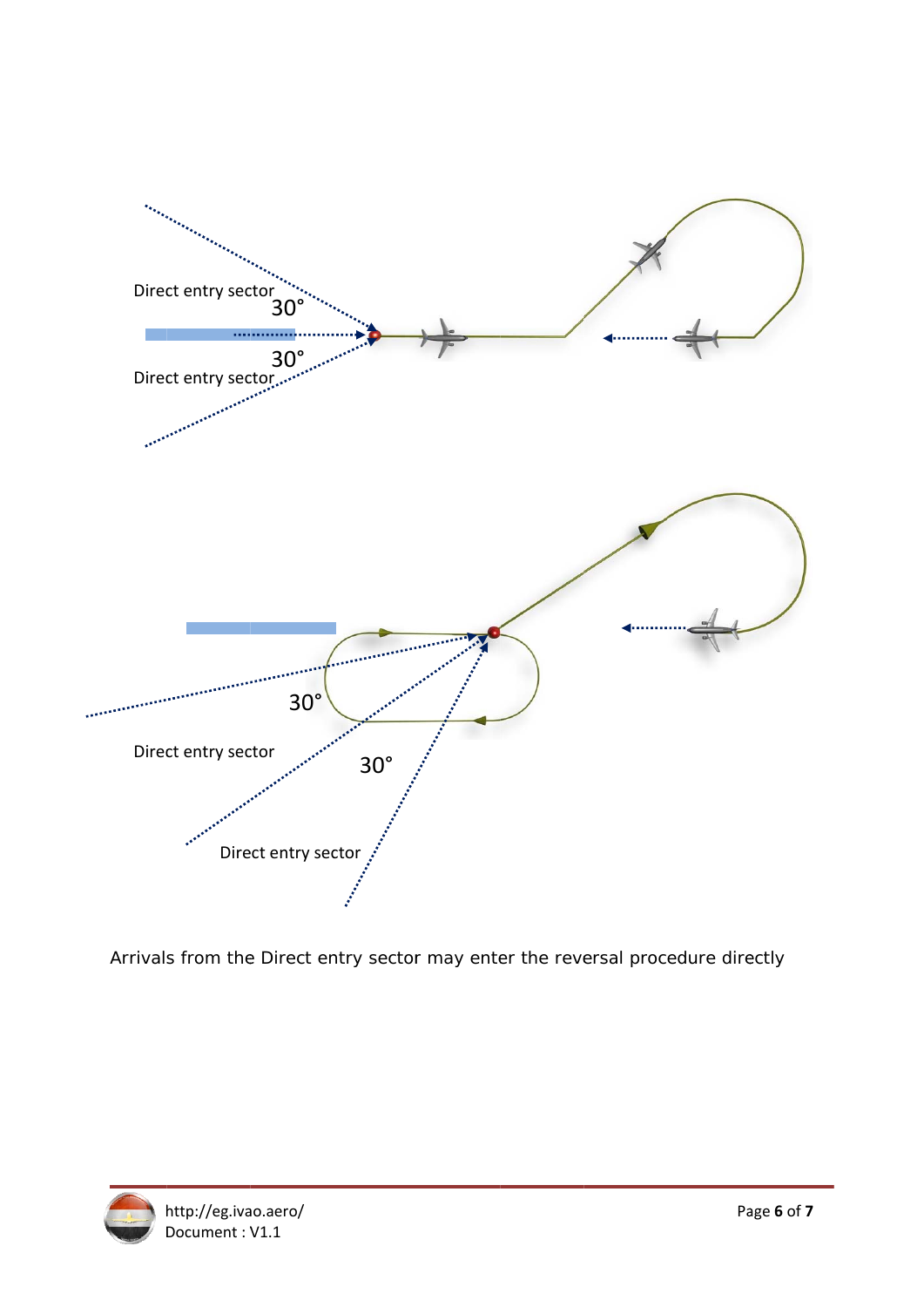

Arrivals from the Direct entry sector may enter the reversal procedure directly